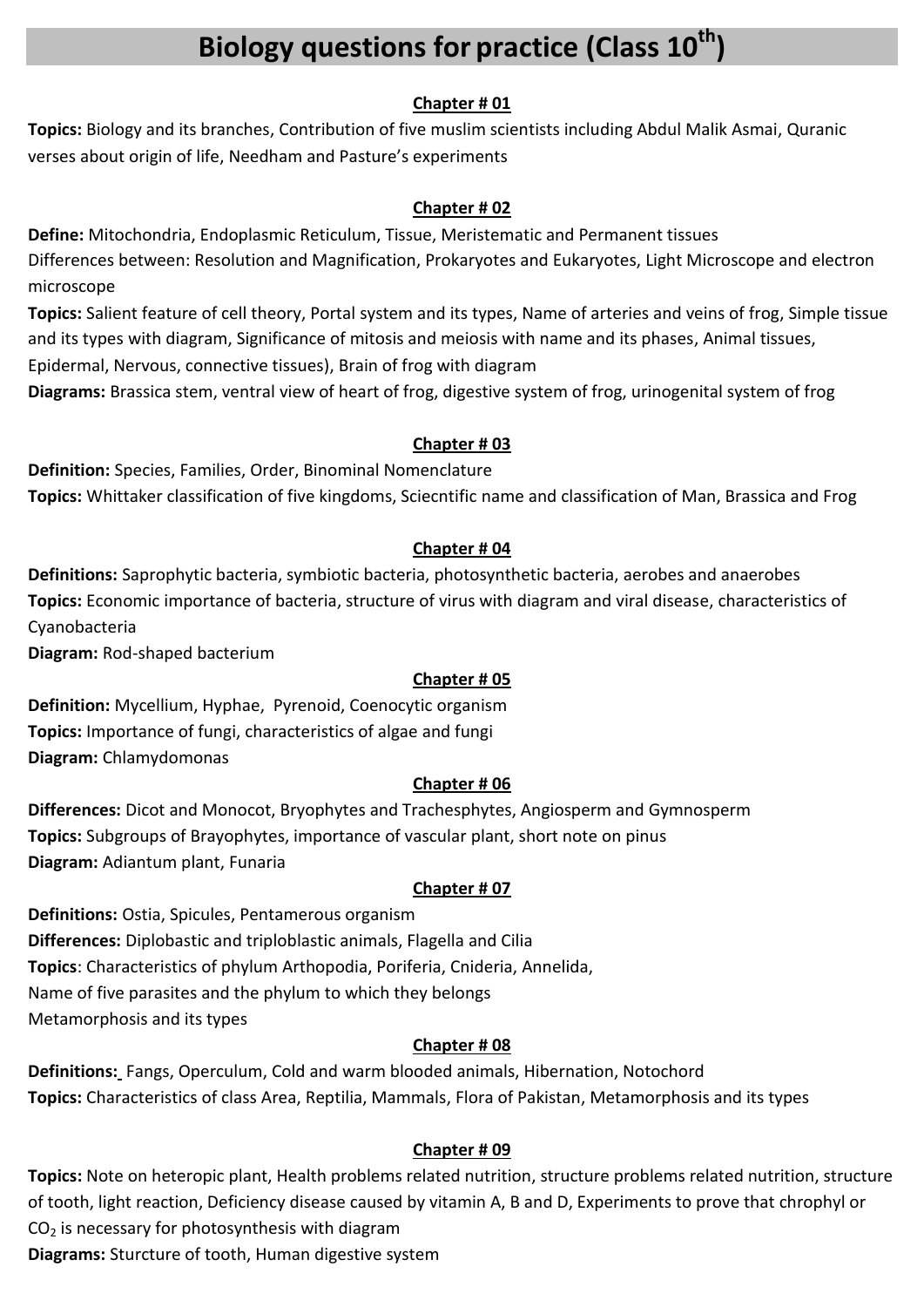# **Biology questions for practice (Class 10th)**

## **Chapter # 01**

**Topics:** Biology and its branches, Contribution of five muslim scientists including Abdul Malik Asmai, Quranic verses about origin of life, Needham and Pasture's experiments

## **Chapter # 02**

**Define:** Mitochondria, Endoplasmic Reticulum, Tissue, Meristematic and Permanent tissues Differences between: Resolution and Magnification, Prokaryotes and Eukaryotes, Light Microscope and electron microscope

**Topics:** Salient feature of cell theory, Portal system and its types, Name of arteries and veins of frog, Simple tissue and its types with diagram, Significance of mitosis and meiosis with name and its phases, Animal tissues,

Epidermal, Nervous, connective tissues), Brain of frog with diagram

**Diagrams:** Brassica stem, ventral view of heart of frog, digestive system of frog, urinogenital system of frog

## **Chapter # 03**

**Definition:** Species, Families, Order, Binominal Nomenclature **Topics:** Whittaker classification of five kingdoms, Sciecntific name and classification of Man, Brassica and Frog

## **Chapter # 04**

**Definitions:** Saprophytic bacteria, symbiotic bacteria, photosynthetic bacteria, aerobes and anaerobes **Topics:** Economic importance of bacteria, structure of virus with diagram and viral disease, characteristics of Cyanobacteria

**Diagram:** Rod-shaped bacterium

# **Chapter # 05**

**Definition:** Mycellium, Hyphae, Pyrenoid, Coenocytic organism **Topics:** Importance of fungi, characteristics of algae and fungi **Diagram:** Chlamydomonas

#### **Chapter # 06**

**Differences:** Dicot and Monocot, Bryophytes and Trachesphytes, Angiosperm and Gymnosperm **Topics:** Subgroups of Brayophytes, importance of vascular plant, short note on pinus **Diagram:** Adiantum plant, Funaria

#### **Chapter # 07**

**Definitions:** Ostia, Spicules, Pentamerous organism **Differences:** Diplobastic and triploblastic animals, Flagella and Cilia **Topics**: Characteristics of phylum Arthopodia, Poriferia, Cnideria, Annelida, Name of five parasites and the phylum to which they belongs Metamorphosis and its types

# **Chapter # 08**

**Definitions:** Fangs, Operculum, Cold and warm blooded animals, Hibernation, Notochord **Topics:** Characteristics of class Area, Reptilia, Mammals, Flora of Pakistan, Metamorphosis and its types

# **Chapter # 09**

**Topics:** Note on heteropic plant, Health problems related nutrition, structure problems related nutrition, structure of tooth, light reaction, Deficiency disease caused by vitamin A, B and D, Experiments to prove that chrophyl or  $CO<sub>2</sub>$  is necessary for photosynthesis with diagram **Diagrams:** Sturcture of tooth, Human digestive system